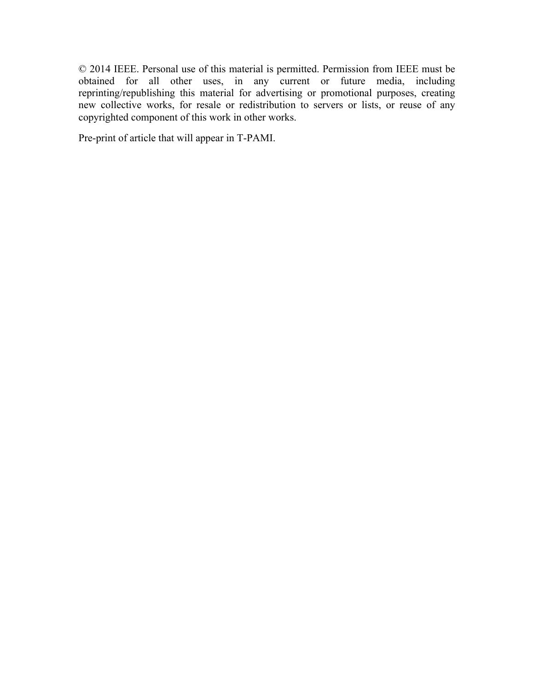© 2014 IEEE. Personal use of this material is permitted. Permission from IEEE must be obtained for all other uses, in any current or future media, including reprinting/republishing this material for advertising or promotional purposes, creating new collective works, for resale or redistribution to servers or lists, or reuse of any copyrighted component of this work in other works.

Pre-print of article that will appear in T-PAMI.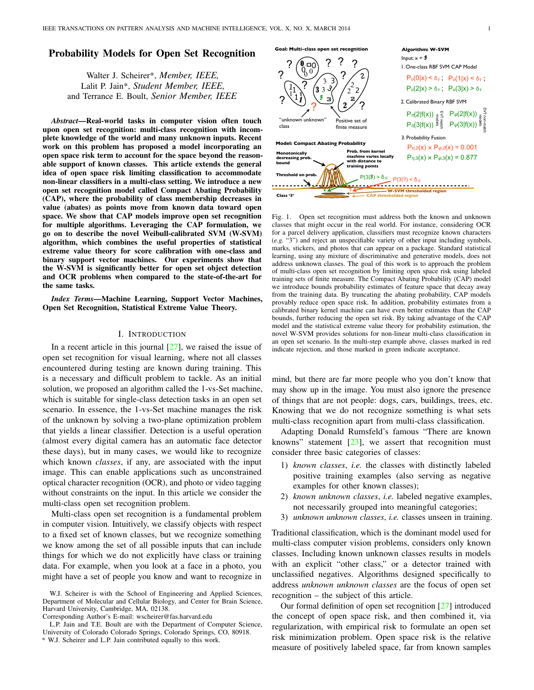# <span id="page-1-1"></span>Probability Models for Open Set Recognition

Walter J. Scheirer\*, *Member, IEEE,* Lalit P. Jain\*, *Student Member, IEEE,* and Terrance E. Boult, *Senior Member, IEEE*

*Abstract*—Real-world tasks in computer vision often touch upon open set recognition: multi-class recognition with incomplete knowledge of the world and many unknown inputs. Recent work on this problem has proposed a model incorporating an open space risk term to account for the space beyond the reasonable support of known classes. This article extends the general idea of open space risk limiting classification to accommodate non-linear classifiers in a multi-class setting. We introduce a new open set recognition model called Compact Abating Probability (CAP), where the probability of class membership decreases in value (abates) as points move from known data toward open space. We show that CAP models improve open set recognition for multiple algorithms. Leveraging the CAP formulation, we go on to describe the novel Weibull-calibrated SVM (W-SVM) algorithm, which combines the useful properties of statistical extreme value theory for score calibration with one-class and binary support vector machines. Our experiments show that the W-SVM is significantly better for open set object detection and OCR problems when compared to the state-of-the-art for the same tasks.

*Index Terms*—Machine Learning, Support Vector Machines, Open Set Recognition, Statistical Extreme Value Theory.

# I. INTRODUCTION

In a recent article in this journal  $[27]$ , we raised the issue of open set recognition for visual learning, where not all classes encountered during testing are known during training. This is a necessary and difficult problem to tackle. As an initial solution, we proposed an algorithm called the 1-vs-Set machine, which is suitable for single-class detection tasks in an open set scenario. In essence, the 1-vs-Set machine manages the risk of the unknown by solving a two-plane optimization problem that yields a linear classifier. Detection is a useful operation (almost every digital camera has an automatic face detector these days), but in many cases, we would like to recognize which known *classes*, if any, are associated with the input image. This can enable applications such as unconstrained optical character recognition (OCR), and photo or video tagging without constraints on the input. In this article we consider the multi-class open set recognition problem.

Multi-class open set recognition is a fundamental problem in computer vision. Intuitively, we classify objects with respect to a fixed set of known classes, but we recognize something we know among the set of all possible inputs that can include things for which we do not explicitly have class or training data. For example, when you look at a face in a photo, you might have a set of people you know and want to recognize in

L.P. Jain and T.E. Boult are with the Department of Computer Science, University of Colorado Colorado Springs, Colorado Springs, CO, 80918.

\* W.J. Scheirer and L.P. Jain contributed equally to this work.



<span id="page-1-0"></span>Fig. 1. Open set recognition must address both the known and unknown classes that might occur in the real world. For instance, considering OCR for a parcel delivery application, classifiers must recognize known characters (*e.g.* "3") and reject an unspecifiable variety of other input including symbols, marks, stickers, and photos that can appear on a package. Standard statistical learning, using any mixture of discriminative and generative models, does not address unknown classes. The goal of this work is to approach the problem of multi-class open set recognition by limiting open space risk using labeled training sets of finite measure. The Compact Abating Probability (CAP) model we introduce bounds probability estimates of feature space that decay away from the training data. By truncating the abating probability, CAP models provably reduce open space risk. In addition, probability estimates from a calibrated binary kernel machine can have even better estimates than the CAP bounds, further reducing the open set risk. By taking advantage of the CAP model and the statistical extreme value theory for probability estimation, the novel W-SVM provides solutions for non-linear multi-class classification in an open set scenario. In the multi-step example above, classes marked in red indicate rejection, and those marked in green indicate acceptance.

mind, but there are far more people who you don't know that may show up in the image. You must also ignore the presence of things that are not people: dogs, cars, buildings, trees, etc. Knowing that we do not recognize something is what sets multi-class recognition apart from multi-class classification.

Adapting Donald Rumsfeld's famous "There are known knowns" statement  $[23]$ , we assert that recognition must consider three basic categories of classes:

- 1) *known classes*, *i.e.* the classes with distinctly labeled positive training examples (also serving as negative examples for other known classes);
- 2) *known unknown classes*, *i.e.* labeled negative examples, not necessarily grouped into meaningful categories;
- 3) *unknown unknown classes*, *i.e.* classes unseen in training.

Traditional classification, which is the dominant model used for multi-class computer vision problems, considers only known classes. Including known unknown classes results in models with an explicit "other class," or a detector trained with unclassified negatives. Algorithms designed specifically to address *unknown unknown classes* are the focus of open set recognition – the subject of this article.

Our formal definition of open set recognition  $[27]$  introduced the concept of open space risk, and then combined it, via regularization, with empirical risk to formulate an open set risk minimization problem. Open space risk is the relative measure of positively labeled space, far from known samples

W.J. Scheirer is with the School of Engineering and Applied Sciences, Department of Molecular and Cellular Biology, and Center for Brain Science, Harvard University, Cambridge, MA, 02138.

Corresponding Author's E-mail: wscheirer@fas.harvard.edu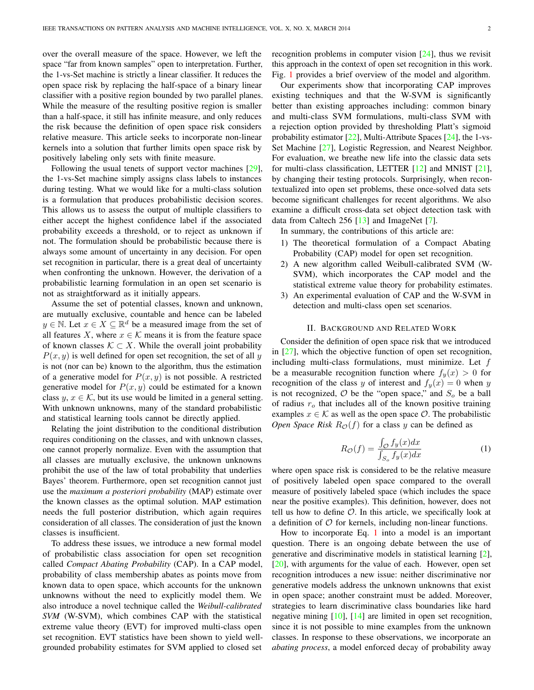<span id="page-2-1"></span>over the overall measure of the space. However, we left the space "far from known samples" open to interpretation. Further, the 1-vs-Set machine is strictly a linear classifier. It reduces the open space risk by replacing the half-space of a binary linear classifier with a positive region bounded by two parallel planes. While the measure of the resulting positive region is smaller than a half-space, it still has infinite measure, and only reduces the risk because the definition of open space risk considers relative measure. This article seeks to incorporate non-linear kernels into a solution that further limits open space risk by positively labeling only sets with finite measure.

Following the usual tenets of support vector machines [\[29\]](#page-8-2), the 1-vs-Set machine simply assigns class labels to instances during testing. What we would like for a multi-class solution is a formulation that produces probabilistic decision scores. This allows us to assess the output of multiple classifiers to either accept the highest confidence label if the associated probability exceeds a threshold, or to reject as unknown if not. The formulation should be probabilistic because there is always some amount of uncertainty in any decision. For open set recognition in particular, there is a great deal of uncertainty when confronting the unknown. However, the derivation of a probabilistic learning formulation in an open set scenario is not as straightforward as it initially appears.

Assume the set of potential classes, known and unknown, are mutually exclusive, countable and hence can be labeled  $y \in \mathbb{N}$ . Let  $x \in X \subseteq \mathbb{R}^d$  be a measured image from the set of all features *X*, where  $x \in K$  means it is from the feature space of known classes  $K \subset X$ . While the overall joint probability  $P(x, y)$  is well defined for open set recognition, the set of all *y* is not (nor can be) known to the algorithm, thus the estimation of a generative model for  $P(x, y)$  is not possible. A restricted generative model for  $P(x, y)$  could be estimated for a known class  $y, x \in \mathcal{K}$ , but its use would be limited in a general setting. With unknown unknowns, many of the standard probabilistic and statistical learning tools cannot be directly applied.

Relating the joint distribution to the conditional distribution requires conditioning on the classes, and with unknown classes, one cannot properly normalize. Even with the assumption that all classes are mutually exclusive, the unknown unknowns prohibit the use of the law of total probability that underlies Bayes' theorem. Furthermore, open set recognition cannot just use the *maximum a posteriori probability* (MAP) estimate over the known classes as the optimal solution. MAP estimation needs the full posterior distribution, which again requires consideration of all classes. The consideration of just the known classes is insufficient.

To address these issues, we introduce a new formal model of probabilistic class association for open set recognition called *Compact Abating Probability* (CAP). In a CAP model, probability of class membership abates as points move from known data to open space, which accounts for the unknown unknowns without the need to explicitly model them. We also introduce a novel technique called the *Weibull-calibrated SVM* (W-SVM), which combines CAP with the statistical extreme value theory (EVT) for improved multi-class open set recognition. EVT statistics have been shown to yield wellgrounded probability estimates for SVM applied to closed set

recognition problems in computer vision [\[24\]](#page-8-3), thus we revisit this approach in the context of open set recognition in this work. Fig. [1](#page-1-0) provides a brief overview of the model and algorithm.

Our experiments show that incorporating CAP improves existing techniques and that the W-SVM is significantly better than existing approaches including: common binary and multi-class SVM formulations, multi-class SVM with a rejection option provided by thresholding Platt's sigmoid probability estimator  $[22]$ , Multi-Attribute Spaces  $[24]$ , the 1-vs-Set Machine [\[27\]](#page-8-0), Logistic Regression, and Nearest Neighbor. For evaluation, we breathe new life into the classic data sets for multi-class classification, LETTER [\[12\]](#page-8-5) and MNIST [\[21\]](#page-8-6), by changing their testing protocols. Surprisingly, when recontextualized into open set problems, these once-solved data sets become significant challenges for recent algorithms. We also examine a difficult cross-data set object detection task with data from Caltech 256 [\[13\]](#page-8-7) and ImageNet [\[7\]](#page-8-8).

In summary, the contributions of this article are:

- 1) The theoretical formulation of a Compact Abating Probability (CAP) model for open set recognition.
- 2) A new algorithm called Weibull-calibrated SVM (W-SVM), which incorporates the CAP model and the statistical extreme value theory for probability estimates.
- 3) An experimental evaluation of CAP and the W-SVM in detection and multi-class open set scenarios.

#### II. BACKGROUND AND RELATED WORK

Consider the definition of open space risk that we introduced in [\[27\]](#page-8-0), which the objective function of open set recognition, including multi-class formulations, must minimize. Let *f* be a measurable recognition function where  $f_y(x) > 0$  for recognition of the class *y* of interest and  $f_y(x) = 0$  when *y* is not recognized,  $O$  be the "open space," and  $S<sub>o</sub>$  be a ball of radius *r<sup>o</sup>* that includes all of the known positive training examples  $x \in \mathcal{K}$  as well as the open space  $\mathcal{O}$ . The probabilistic *Open Space Risk*  $R_{\mathcal{O}}(f)$  for a class *y* can be defined as

<span id="page-2-0"></span>
$$
R_{\mathcal{O}}(f) = \frac{\int_{\mathcal{O}} f_y(x) dx}{\int_{S_o} f_y(x) dx}
$$
 (1)

where open space risk is considered to be the relative measure of positively labeled open space compared to the overall measure of positively labeled space (which includes the space near the positive examples). This definition, however, does not tell us how to define *O*. In this article, we specifically look at a definition of *O* for kernels, including non-linear functions.

How to incorporate Eq. [1](#page-2-0) into a model is an important question. There is an ongoing debate between the use of generative and discriminative models in statistical learning [\[2\]](#page-8-9), [\[20\]](#page-8-10), with arguments for the value of each. However, open set recognition introduces a new issue: neither discriminative nor generative models address the unknown unknowns that exist in open space; another constraint must be added. Moreover, strategies to learn discriminative class boundaries like hard negative mining [\[10\]](#page-8-11), [\[14\]](#page-8-12) are limited in open set recognition, since it is not possible to mine examples from the unknown classes. In response to these observations, we incorporate an *abating process*, a model enforced decay of probability away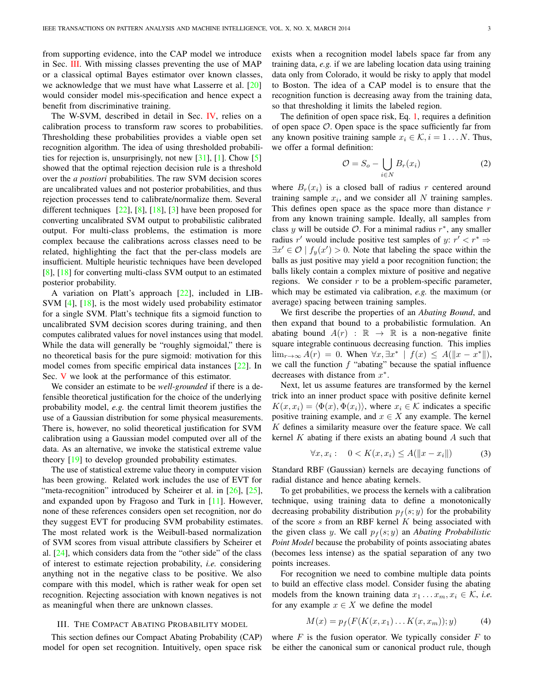<span id="page-3-4"></span>from supporting evidence, into the CAP model we introduce in Sec. [III.](#page-3-0) With missing classes preventing the use of MAP or a classical optimal Bayes estimator over known classes, we acknowledge that we must have what Lasserre et al. [\[20\]](#page-8-10) would consider model mis-specification and hence expect a benefit from discriminative training.

The W-SVM, described in detail in Sec. [IV,](#page-4-0) relies on a calibration process to transform raw scores to probabilities. Thresholding these probabilities provides a viable open set recognition algorithm. The idea of using thresholded probabilities for rejection is, unsurprisingly, not new  $[31]$ ,  $[1]$ . Chow  $[5]$ showed that the optimal rejection decision rule is a threshold over the *a postiori* probabilities. The raw SVM decision scores are uncalibrated values and not posterior probabilities, and thus rejection processes tend to calibrate/normalize them. Several different techniques  $[22]$ ,  $[8]$ ,  $[18]$ ,  $[3]$  have been proposed for converting uncalibrated SVM output to probabilistic calibrated output. For multi-class problems, the estimation is more complex because the calibrations across classes need to be related, highlighting the fact that the per-class models are insufficient. Multiple heuristic techniques have been developed [\[8\]](#page-8-16), [\[18\]](#page-8-17) for converting multi-class SVM output to an estimated posterior probability.

A variation on Platt's approach [\[22\]](#page-8-4), included in LIB-SVM [\[4\]](#page-8-19), [\[18\]](#page-8-17), is the most widely used probability estimator for a single SVM. Platt's technique fits a sigmoid function to uncalibrated SVM decision scores during training, and then computes calibrated values for novel instances using that model. While the data will generally be "roughly sigmoidal," there is no theoretical basis for the pure sigmoid: motivation for this model comes from specific empirical data instances [\[22\]](#page-8-4). In Sec. [V](#page-6-0) we look at the performance of this estimator.

We consider an estimate to be *well-grounded* if there is a defensible theoretical justification for the choice of the underlying probability model, *e.g.* the central limit theorem justifies the use of a Gaussian distribution for some physical measurements. There is, however, no solid theoretical justification for SVM calibration using a Gaussian model computed over all of the data. As an alternative, we invoke the statistical extreme value theory [\[19\]](#page-8-20) to develop grounded probability estimates.

The use of statistical extreme value theory in computer vision has been growing. Related work includes the use of EVT for "meta-recognition" introduced by Scheirer et al. in  $[26]$ ,  $[25]$ , and expanded upon by Fragoso and Turk in [\[11\]](#page-8-23). However, none of these references considers open set recognition, nor do they suggest EVT for producing SVM probability estimates. The most related work is the Weibull-based normalization of SVM scores from visual attribute classifiers by Scheirer et al.  $[24]$ , which considers data from the "other side" of the class of interest to estimate rejection probability, *i.e.* considering anything not in the negative class to be positive. We also compare with this model, which is rather weak for open set recognition. Rejecting association with known negatives is not as meaningful when there are unknown classes.

### <span id="page-3-0"></span>III. THE COMPACT ABATING PROBABILITY MODEL

This section defines our Compact Abating Probability (CAP) model for open set recognition. Intuitively, open space risk exists when a recognition model labels space far from any training data, *e.g.* if we are labeling location data using training data only from Colorado, it would be risky to apply that model to Boston. The idea of a CAP model is to ensure that the recognition function is decreasing away from the training data, so that thresholding it limits the labeled region.

The definition of open space risk, Eq. [1,](#page-2-0) requires a definition of open space *O*. Open space is the space sufficiently far from any known positive training sample  $x_i \in \mathcal{K}, i = 1 \dots N$ . Thus, we offer a formal definition:

<span id="page-3-2"></span>
$$
\mathcal{O} = S_o - \bigcup_{i \in N} B_r(x_i) \tag{2}
$$

where  $B_r(x_i)$  is a closed ball of radius *r* centered around training sample  $x_i$ , and we consider all  $N$  training samples. This defines open space as the space more than distance *r* from any known training sample. Ideally, all samples from class *y* will be outside  $\mathcal{O}$ . For a minimal radius  $r^*$ , any smaller radius *r'* would include positive test samples of *y*:  $r' < r^* \Rightarrow$  $\exists x' \in \mathcal{O} \mid f_y(x') > 0$ . Note that labeling the space within the balls as just positive may yield a poor recognition function; the balls likely contain a complex mixture of positive and negative regions. We consider *r* to be a problem-specific parameter, which may be estimated via calibration, *e.g.* the maximum (or average) spacing between training samples.

We first describe the properties of an *Abating Bound*, and then expand that bound to a probabilistic formulation. An abating bound  $A(r)$  :  $\mathbb{R} \to \mathbb{R}$  is a non-negative finite square integrable continuous decreasing function. This implies  $\lim_{r \to \infty} A(r) = 0$ . When  $\forall x, \exists x^* \mid f(x) \leq A(\|x - x^*\|),$ we call the function *f* "abating" because the spatial influence decreases with distance from *x*⇤.

Next, let us assume features are transformed by the kernel trick into an inner product space with positive definite kernel  $K(x, x_i) = \langle \Phi(x), \Phi(x_i) \rangle$ , where  $x_i \in \mathcal{K}$  indicates a specific positive training example, and  $x \in X$  any example. The kernel *K* defines a similarity measure over the feature space. We call kernel *K* abating if there exists an abating bound *A* such that

<span id="page-3-1"></span>
$$
\forall x, x_i: \quad 0 < K(x, x_i) \le A(||x - x_i||) \tag{3}
$$

Standard RBF (Gaussian) kernels are decaying functions of radial distance and hence abating kernels.

To get probabilities, we process the kernels with a calibration technique, using training data to define a monotonically decreasing probability distribution  $p_f(s; y)$  for the probability of the score *s* from an RBF kernel *K* being associated with the given class *y*. We call  $p_f(s; y)$  an *Abating Probabilistic Point Model* because the probability of points associating abates (becomes less intense) as the spatial separation of any two points increases.

For recognition we need to combine multiple data points to build an effective class model. Consider fusing the abating models from the known training data  $x_1 \ldots x_m, x_i \in \mathcal{K}$ , *i.e.* for any example  $x \in X$  we define the model

<span id="page-3-3"></span>
$$
M(x) = p_f(F(K(x, x_1) \dots K(x, x_m)); y)
$$
 (4)

where  $F$  is the fusion operator. We typically consider  $F$  to be either the canonical sum or canonical product rule, though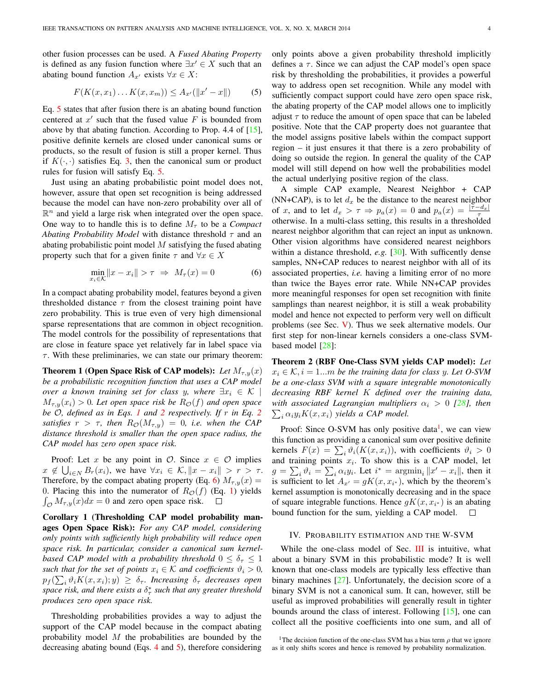<span id="page-4-4"></span>other fusion processes can be used. A *Fused Abating Property* is defined as any fusion function where  $\exists x' \in X$  such that an abating bound function  $A_{x}$  exists  $\forall x \in X$ :

<span id="page-4-1"></span>
$$
F(K(x, x_1) \dots K(x, x_m)) \le A_{x'}(\|x' - x\|)
$$
 (5)

Eq. [5](#page-4-1) states that after fusion there is an abating bound function centered at  $x'$  such that the fused value  $F$  is bounded from above by that abating function. According to Prop. 4.4 of [\[15\]](#page-8-24), positive definite kernels are closed under canonical sums or products, so the result of fusion is still a proper kernel. Thus if  $K(\cdot, \cdot)$  satisfies Eq. [3,](#page-3-1) then the canonical sum or product rules for fusion will satisfy Eq. [5.](#page-4-1)

Just using an abating probabilistic point model does not, however, assure that open set recognition is being addressed because the model can have non-zero probability over all of  $\mathbb{R}^n$  and yield a large risk when integrated over the open space. One way to to handle this is to define  $M_{\tau}$  to be a *Compact Abating Probability Model* with distance threshold  $\tau$  and an abating probabilistic point model *M* satisfying the fused abating property such that for a given finite  $\tau$  and  $\forall x \in X$ 

<span id="page-4-2"></span>
$$
\min_{x_i \in \mathcal{K}} \|x - x_i\| > \tau \implies M_\tau(x) = 0 \tag{6}
$$

In a compact abating probability model, features beyond a given thresholded distance  $\tau$  from the closest training point have zero probability. This is true even of very high dimensional sparse representations that are common in object recognition. The model controls for the possibility of representations that are close in feature space yet relatively far in label space via  $\tau$ . With these preliminaries, we can state our primary theorem:

**Theorem 1 (Open Space Risk of CAP models):** Let  $M_{\tau,y}(x)$ *be a probabilistic recognition function that uses a CAP model over a known training set for class y, where*  $\exists x_i \in \mathcal{K}$  |  $M_{\tau,y}(x_i) > 0$ *. Let open space risk be*  $R_{\mathcal{O}}(f)$  *and open space be O, defined as in Eqs. [1](#page-2-0) and [2](#page-3-2) respectively. If r in Eq. [2](#page-3-2) satisfies*  $r > \tau$ *, then*  $R_{\mathcal{O}}(M_{\tau,y}) = 0$ *, i.e. when the CAP distance threshold is smaller than the open space radius, the CAP model has zero open space risk.*

Proof: Let *x* be any point in  $\mathcal{O}$ . Since  $x \in \mathcal{O}$  implies  $x \notin \bigcup_{i \in N} B_r(x_i)$ , we have  $\forall x_i \in \mathcal{K}, ||x - x_i|| > r > \tau$ . Therefore, by the compact abating property (Eq. [6\)](#page-4-2)  $M_{\tau,y}(x) =$ 0. Placing this into the numerator of  $R_{\mathcal{O}}(f)$  (Eq. [1\)](#page-2-0) yields  $\int_{\mathbb{R}} M_{\tau,v}(x) dx = 0$  and zero open space risk.  $\int_{\mathcal{O}} M_{\tau,y}(x)dx = 0$  and zero open space risk.

Corollary 1 (Thresholding CAP model probability manages Open Space Risk): *For any CAP model, considering only points with sufficiently high probability will reduce open space risk. In particular, consider a canonical sum kernelbased CAP model with a probability threshold*  $0 \le \delta_{\tau} \le 1$ *such that for the set of points*  $x_i \in \mathcal{K}$  *and coefficients*  $\vartheta_i > 0$ *,*  $p_f(\sum_i \vartheta_i K(x, x_i); y) \ge \delta_{\tau}$ . Increasing  $\delta_{\tau}$  decreases open  $space$  risk, and there exists a  $\delta_{\tau}^{*}$  such that any greater threshold *produces zero open space risk.*

Thresholding probabilities provides a way to adjust the support of the CAP model because in the compact abating probability model *M* the probabilities are bounded by the decreasing abating bound (Eqs. [4](#page-3-3) and [5\)](#page-4-1), therefore considering only points above a given probability threshold implicitly defines a  $\tau$ . Since we can adjust the CAP model's open space risk by thresholding the probabilities, it provides a powerful way to address open set recognition. While any model with sufficiently compact support could have zero open space risk, the abating property of the CAP model allows one to implicitly adjust  $\tau$  to reduce the amount of open space that can be labeled positive. Note that the CAP property does not guarantee that the model assigns positive labels within the compact support region – it just ensures it that there is a zero probability of doing so outside the region. In general the quality of the CAP model will still depend on how well the probabilities model the actual underlying positive region of the class.

A simple CAP example, Nearest Neighbor + CAP (NN+CAP), is to let  $d_x$  be the distance to the nearest neighbor of *x*, and to let  $d_x > \tau \Rightarrow p_a(x) = 0$  and  $p_a(x) = \frac{|\tau - d_x|}{\tau}$ otherwise. In a multi-class setting, this results in a thresholded nearest neighbor algorithm that can reject an input as unknown. Other vision algorithms have considered nearest neighbors within a distance threshold, *e.g.* [\[30\]](#page-8-25). With sufficently dense samples, NN+CAP reduces to nearest neighbor with all of its associated properties, *i.e.* having a limiting error of no more than twice the Bayes error rate. While NN+CAP provides more meaningful responses for open set recognition with finite samplings than nearest neighbor, it is still a weak probability model and hence not expected to perform very well on difficult problems (see Sec. [V\)](#page-6-0). Thus we seek alternative models. Our first step for non-linear kernels considers a one-class SVMbased model [\[28\]](#page-8-26):

Theorem 2 (RBF One-Class SVM yields CAP model): *Let*  $x_i \in \mathcal{K}, i = 1...m$  *be the training data for class y. Let O-SVM be a one-class SVM with a square integrable monotonically decreasing RBF kernel K defined over the training data, with associated Lagrangian multipliers*  $\alpha_i > 0$  [\[28\]](#page-8-26), then  $\sum_i \alpha_i y_i K(x, x_i)$  yields a CAP model.

Proof: Since  $O-SVM$  has only positive data<sup>1</sup>, we can view this function as providing a canonical sum over positive definite kernels  $F(x) = \sum_i \vartheta_i(K(x, x_i))$ , with coefficients  $\vartheta_i > 0$ and training points  $x_i$ . To show this is a CAP model, let  $g = \sum_i \vartheta_i = \sum_i \alpha_i y_i$ . Let  $i^* = \text{argmin}_i ||x' - x_i||$ , then it is sufficient to let  $A_{x'} = gK(x, x_{i^*})$ , which by the theorem's kernel assumption is monotonically decreasing and in the space of square integrable functions. Hence  $gK(x, x_{i^*})$  is an abating bound function for the sum, yielding a CAP model.

# IV. PROBABILITY ESTIMATION AND THE W-SVM

<span id="page-4-0"></span>While the one-class model of Sec. [III](#page-3-0) is intuitive, what about a binary SVM in this probabilistic mode? It is well known that one-class models are typically less effective than binary machines [\[27\]](#page-8-0). Unfortunately, the decision score of a binary SVM is not a canonical sum. It can, however, still be useful as improved probabilities will generally result in tighter bounds around the class of interest. Following [\[15\]](#page-8-24), one can collect all the positive coefficients into one sum, and all of

<span id="page-4-3"></span><sup>&</sup>lt;sup>1</sup>The decision function of the one-class SVM has a bias term  $\rho$  that we ignore as it only shifts scores and hence is removed by probability normalization.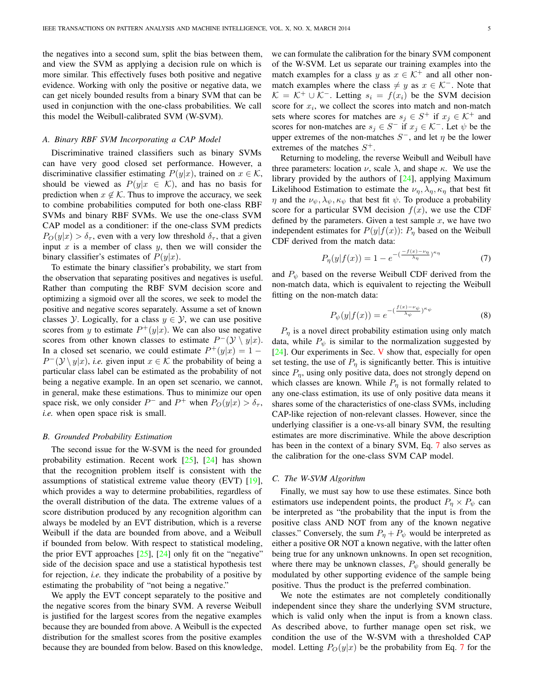<span id="page-5-2"></span>the negatives into a second sum, split the bias between them, and view the SVM as applying a decision rule on which is more similar. This effectively fuses both positive and negative evidence. Working with only the positive or negative data, we can get nicely bounded results from a binary SVM that can be used in conjunction with the one-class probabilities. We call this model the Weibull-calibrated SVM (W-SVM).

### *A. Binary RBF SVM Incorporating a CAP Model*

Discriminative trained classifiers such as binary SVMs can have very good closed set performance. However, a discriminative classifier estimating  $P(y|x)$ , trained on  $x \in \mathcal{K}$ , should be viewed as  $P(y|x \in K)$ , and has no basis for prediction when  $x \notin \mathcal{K}$ . Thus to improve the accuracy, we seek to combine probabilities computed for both one-class RBF SVMs and binary RBF SVMs. We use the one-class SVM CAP model as a conditioner: if the one-class SVM predicts  $P_O(y|x) > \delta_\tau$ , even with a very low threshold  $\delta_\tau$ , that a given input *x* is a member of class *y*, then we will consider the binary classifier's estimates of  $P(y|x)$ .

To estimate the binary classifier's probability, we start from the observation that separating positives and negatives is useful. Rather than computing the RBF SVM decision score and optimizing a sigmoid over all the scores, we seek to model the positive and negative scores separately. Assume a set of known classes *Y*. Logically, for a class  $y \in Y$ , we can use positive scores from *y* to estimate  $P^+(y|x)$ . We can also use negative scores from other known classes to estimate  $P^-(\mathcal{Y} \setminus \mathcal{Y}|\mathcal{x})$ . In a closed set scenario, we could estimate  $P^+(y|x)=1$  –  $P^{-}(\mathcal{Y}\setminus\mathcal{Y}|x)$ , *i.e.* given input  $x \in \mathcal{K}$  the probability of being a particular class label can be estimated as the probability of not being a negative example. In an open set scenario, we cannot, in general, make these estimations. Thus to minimize our open space risk, we only consider  $P^-$  and  $P^+$  when  $P_O(y|x) > \delta_\tau$ , *i.e.* when open space risk is small.

## *B. Grounded Probability Estimation*

The second issue for the W-SVM is the need for grounded probability estimation. Recent work [\[25\]](#page-8-22), [\[24\]](#page-8-3) has shown that the recognition problem itself is consistent with the assumptions of statistical extreme value theory (EVT) [\[19\]](#page-8-20), which provides a way to determine probabilities, regardless of the overall distribution of the data. The extreme values of a score distribution produced by any recognition algorithm can always be modeled by an EVT distribution, which is a reverse Weibull if the data are bounded from above, and a Weibull if bounded from below. With respect to statistical modeling, the prior EVT approaches  $[25]$ ,  $[24]$  only fit on the "negative" side of the decision space and use a statistical hypothesis test for rejection, *i.e.* they indicate the probability of a positive by estimating the probability of "not being a negative."

We apply the EVT concept separately to the positive and the negative scores from the binary SVM. A reverse Weibull is justified for the largest scores from the negative examples because they are bounded from above. A Weibull is the expected distribution for the smallest scores from the positive examples because they are bounded from below. Based on this knowledge, we can formulate the calibration for the binary SVM component of the W-SVM. Let us separate our training examples into the match examples for a class *y* as  $x \in \mathcal{K}^+$  and all other nonmatch examples where the class  $\neq$  *y* as  $x \in \mathcal{K}^-$ . Note that  $K = K^+ \cup K^-$ . Letting  $s_i = f(x_i)$  be the SVM decision score for *xi*, we collect the scores into match and non-match sets where scores for matches are  $s_j \in S^+$  if  $x_j \in \mathcal{K}^+$  and scores for non-matches are  $s_j \in S^-$  if  $x_j \in \mathcal{K}^-$ . Let  $\psi$  be the upper extremes of the non-matches  $S^-$ , and let  $\eta$  be the lower extremes of the matches *S*+.

Returning to modeling, the reverse Weibull and Weibull have three parameters: location  $\nu$ , scale  $\lambda$ , and shape  $\kappa$ . We use the library provided by the authors of [\[24\]](#page-8-3), applying Maximum Likelihood Estimation to estimate the  $\nu_{\eta}, \lambda_{\eta}, \kappa_{\eta}$  that best fit  $\eta$  and the  $\nu_{\psi}, \lambda_{\psi}, \kappa_{\psi}$  that best fit  $\psi$ . To produce a probability score for a particular SVM decision  $f(x)$ , we use the CDF defined by the parameters. Given a test sample  $x$ , we have two independent estimates for  $P(y|f(x))$ :  $P_n$  based on the Weibull CDF derived from the match data:

<span id="page-5-0"></span>
$$
P_{\eta}(y|f(x)) = 1 - e^{-\left(\frac{-f(x) - \nu_{\eta}}{\lambda_{\eta}}\right)^{\kappa_{\eta}}}
$$
(7)

and  $P_{\psi}$  based on the reverse Weibull CDF derived from the non-match data, which is equivalent to rejecting the Weibull fitting on the non-match data:

<span id="page-5-1"></span>
$$
P_{\psi}(y|f(x)) = e^{-\left(\frac{f(x) - \nu_{\psi}}{\lambda_{\psi}}\right)^{\kappa_{\psi}}}
$$
(8)

 $P_n$  is a novel direct probability estimation using only match data, while  $P_{\psi}$  is similar to the normalization suggested by [\[24\]](#page-8-3). Our experiments in Sec. [V](#page-6-0) show that, especially for open set testing, the use of  $P_{\eta}$  is significantly better. This is intuitive since  $P_{\eta}$ , using only positive data, does not strongly depend on which classes are known. While  $P_{\eta}$  is not formally related to any one-class estimation, its use of only positive data means it shares some of the characteristics of one-class SVMs, including CAP-like rejection of non-relevant classes. However, since the underlying classifier is a one-vs-all binary SVM, the resulting estimates are more discriminative. While the above description has been in the context of a binary SVM, Eq. [7](#page-5-0) also serves as the calibration for the one-class SVM CAP model.

# *C. The W-SVM Algorithm*

Finally, we must say how to use these estimates. Since both estimators use independent points, the product  $P_n \times P_\psi$  can be interpreted as "the probability that the input is from the positive class AND NOT from any of the known negative classes." Conversely, the sum  $P_{\eta} + P_{\psi}$  would be interpreted as either a positive OR NOT a known negative, with the latter often being true for any unknown unknowns. In open set recognition, where there may be unknown classes,  $P_{\psi}$  should generally be modulated by other supporting evidence of the sample being positive. Thus the product is the preferred combination.

We note the estimates are not completely conditionally independent since they share the underlying SVM structure, which is valid only when the input is from a known class. As described above, to further manage open set risk, we condition the use of the W-SVM with a thresholded CAP model. Letting  $P_O(y|x)$  be the probability from Eq. [7](#page-5-0) for the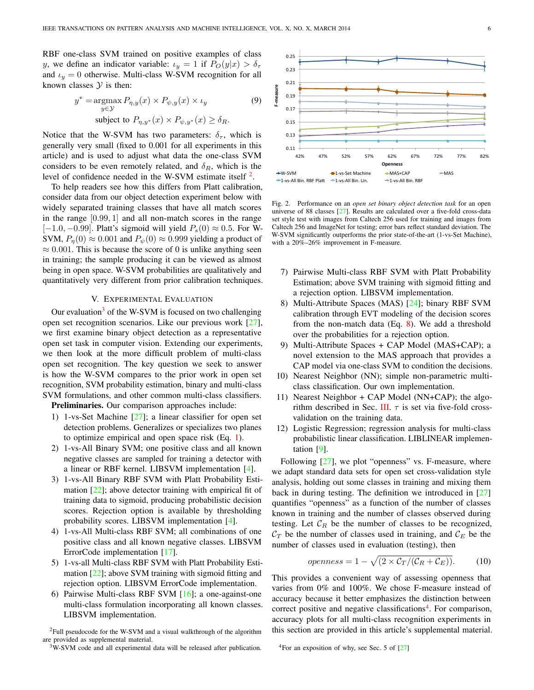<span id="page-6-5"></span>RBF one-class SVM trained on positive examples of class *y*, we define an indicator variable:  $\iota_y = 1$  if  $P_O(y|x) > \delta_\tau$ and  $\iota_y = 0$  otherwise. Multi-class W-SVM recognition for all known classes *Y* is then:

$$
y^* = \operatorname*{argmax}_{y \in \mathcal{Y}} P_{\eta, y}(x) \times P_{\psi, y}(x) \times \iota_y
$$
  
subject to  $P_{\eta, y^*}(x) \times P_{\psi, y^*}(x) \ge \delta_R$ . (9)

Notice that the W-SVM has two parameters:  $\delta_{\tau}$ , which is generally very small (fixed to 0.001 for all experiments in this article) and is used to adjust what data the one-class SVM considers to be even remotely related, and  $\delta_R$ , which is the level of confidence needed in the W-SVM estimate itself <sup>2</sup>.

To help readers see how this differs from Platt calibration, consider data from our object detection experiment below with widely separated training classes that have all match scores in the range [0*.*99*,* 1] and all non-match scores in the range  $[-1.0, -0.99]$ . Platt's sigmoid will yield  $P_s(0) \approx 0.5$ . For W-SVM,  $P_{\eta}(0) \approx 0.001$  and  $P_{\psi}(0) \approx 0.999$  yielding a product of  $\approx 0.001$ . This is because the score of 0 is unlike anything seen in training; the sample producing it can be viewed as almost being in open space. W-SVM probabilities are qualitatively and quantitatively very different from prior calibration techniques.

#### V. EXPERIMENTAL EVALUATION

<span id="page-6-0"></span>Our evaluation<sup>3</sup> of the W-SVM is focused on two challenging open set recognition scenarios. Like our previous work [\[27\]](#page-8-0), we first examine binary object detection as a representative open set task in computer vision. Extending our experiments, we then look at the more difficult problem of multi-class open set recognition. The key question we seek to answer is how the W-SVM compares to the prior work in open set recognition, SVM probability estimation, binary and multi-class SVM formulations, and other common multi-class classifiers.

Preliminaries. Our comparison approaches include:

- 1) 1-vs-Set Machine [\[27\]](#page-8-0); a linear classifier for open set detection problems. Generalizes or specializes two planes to optimize empirical and open space risk  $(Eq. 1)$  $(Eq. 1)$ .
- 2) 1-vs-All Binary SVM; one positive class and all known negative classes are sampled for training a detector with a linear or RBF kernel. LIBSVM implementation [\[4\]](#page-8-19).
- 3) 1-vs-All Binary RBF SVM with Platt Probability Estimation [\[22\]](#page-8-4); above detector training with empirical fit of training data to sigmoid, producing probabilistic decision scores. Rejection option is available by thresholding probability scores. LIBSVM implementation [\[4\]](#page-8-19).
- 4) 1-vs-All Multi-class RBF SVM; all combinations of one positive class and all known negative classes. LIBSVM ErrorCode implementation [\[17\]](#page-8-27).
- 5) 1-vs-all Multi-class RBF SVM with Platt Probability Esti-mation [\[22\]](#page-8-4); above SVM training with sigmoid fitting and rejection option. LIBSVM ErrorCode implementation.
- 6) Pairwise Multi-class RBF SVM [\[16\]](#page-8-28); a one-against-one multi-class formulation incorporating all known classes. LIBSVM implementation.

<span id="page-6-1"></span><sup>2</sup>Full pseudocode for the W-SVM and a visual walkthrough of the algorithm are provided as supplemental material.

<span id="page-6-2"></span><sup>3</sup>W-SVM code and all experimental data will be released after publication.



<span id="page-6-4"></span>Fig. 2. Performance on an *open set binary object detection task* for an open universe of 88 classes [\[27\]](#page-8-0). Results are calculated over a five-fold cross-data set style test with images from Caltech 256 used for training and images from Caltech 256 and ImageNet for testing; error bars reflect standard deviation. The W-SVM significantly outperforms the prior state-of-the-art (1-vs-Set Machine), with a 20%–26% improvement in F-measure.

- 7) Pairwise Multi-class RBF SVM with Platt Probability Estimation; above SVM training with sigmoid fitting and a rejection option. LIBSVM implementation.
- 8) Multi-Attribute Spaces (MAS) [\[24\]](#page-8-3); binary RBF SVM calibration through EVT modeling of the decision scores from the non-match data (Eq. [8\)](#page-5-1). We add a threshold over the probabilities for a rejection option.
- 9) Multi-Attribute Spaces + CAP Model (MAS+CAP); a novel extension to the MAS approach that provides a CAP model via one-class SVM to condition the decisions.
- 10) Nearest Neighbor (NN); simple non-parametric multiclass classification. Our own implementation.
- 11) Nearest Neighbor + CAP Model (NN+CAP); the algo-rithm described in Sec. [III.](#page-3-0)  $\tau$  is set via five-fold crossvalidation on the training data.
- 12) Logistic Regression; regression analysis for multi-class probabilistic linear classification. LIBLINEAR implementation [\[9\]](#page-8-29).

Following [\[27\]](#page-8-0), we plot "openness" vs. F-measure, where we adapt standard data sets for open set cross-validation style analysis, holding out some classes in training and mixing them back in during testing. The definition we introduced in [\[27\]](#page-8-0) quantifies "openness" as a function of the number of classes known in training and the number of classes observed during testing. Let  $C_R$  be the number of classes to be recognized,  $C_T$  be the number of classes used in training, and  $C_E$  be the number of classes used in evaluation (testing), then

$$
openness = 1 - \sqrt{(2 \times C_T / (C_R + C_E))}.
$$
 (10)

This provides a convenient way of assessing openness that varies from 0% and 100%. We chose F-measure instead of accuracy because it better emphasizes the distinction between correct positive and negative classifications<sup>4</sup>. For comparison, accuracy plots for all multi-class recognition experiments in this section are provided in this article's supplemental material.

<span id="page-6-3"></span> $4$ For an exposition of why, see Sec. 5 of  $[27]$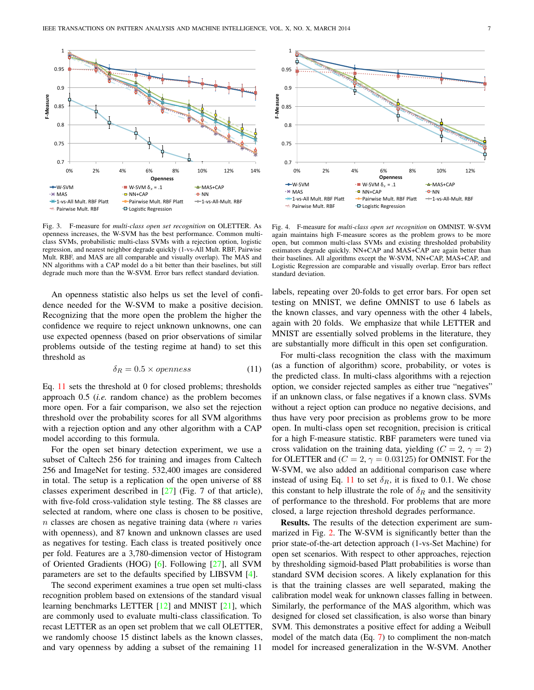<span id="page-7-3"></span>

<span id="page-7-1"></span>Fig. 3. F-measure for *multi-class open set recognition* on OLETTER. As openness increases, the W-SVM has the best performance. Common multiclass SVMs, probabilistic multi-class SVMs with a rejection option, logistic regression, and nearest neighbor degrade quickly (1-vs-All Mult. RBF, Pairwise Mult. RBF, and MAS are all comparable and visually overlap). The MAS and NN algorithms with a CAP model do a bit better than their baselines, but still degrade much more than the W-SVM. Error bars reflect standard deviation.

An openness statistic also helps us set the level of confidence needed for the W-SVM to make a positive decision. Recognizing that the more open the problem the higher the confidence we require to reject unknown unknowns, one can use expected openness (based on prior observations of similar problems outside of the testing regime at hand) to set this threshold as

<span id="page-7-0"></span>
$$
\delta_R = 0.5 \times openness \tag{11}
$$

Eq. [11](#page-7-0) sets the threshold at 0 for closed problems; thresholds approach 0.5 (*i.e.* random chance) as the problem becomes more open. For a fair comparison, we also set the rejection threshold over the probability scores for all SVM algorithms with a rejection option and any other algorithm with a CAP model according to this formula.

For the open set binary detection experiment, we use a subset of Caltech 256 for training and images from Caltech 256 and ImageNet for testing. 532,400 images are considered in total. The setup is a replication of the open universe of 88 classes experiment described in [\[27\]](#page-8-0) (Fig. 7 of that article), with five-fold cross-validation style testing. The 88 classes are selected at random, where one class is chosen to be positive, *n* classes are chosen as negative training data (where *n* varies with openness), and 87 known and unknown classes are used as negatives for testing. Each class is treated positively once per fold. Features are a 3,780-dimension vector of Histogram of Oriented Gradients (HOG) [\[6\]](#page-8-30). Following [\[27\]](#page-8-0), all SVM parameters are set to the defaults specified by LIBSVM [\[4\]](#page-8-19).

The second experiment examines a true open set multi-class recognition problem based on extensions of the standard visual learning benchmarks LETTER [\[12\]](#page-8-5) and MNIST [\[21\]](#page-8-6), which are commonly used to evaluate multi-class classification. To recast LETTER as an open set problem that we call OLETTER, we randomly choose 15 distinct labels as the known classes, and vary openness by adding a subset of the remaining 11



<span id="page-7-2"></span>Fig. 4. F-measure for *multi-class open set recognition* on OMNIST. W-SVM again maintains high F-measure scores as the problem grows to be more open, but common multi-class SVMs and existing thresholded probability estimators degrade quickly. NN+CAP and MAS+CAP are again better than their baselines. All algorithms except the W-SVM, NN+CAP, MAS+CAP, and Logistic Regression are comparable and visually overlap. Error bars reflect standard deviation.

labels, repeating over 20-folds to get error bars. For open set testing on MNIST, we define OMNIST to use 6 labels as the known classes, and vary openness with the other 4 labels, again with 20 folds. We emphasize that while LETTER and MNIST are essentially solved problems in the literature, they are substantially more difficult in this open set configuration.

For multi-class recognition the class with the maximum (as a function of algorithm) score, probability, or votes is the predicted class. In multi-class algorithms with a rejection option, we consider rejected samples as either true "negatives" if an unknown class, or false negatives if a known class. SVMs without a reject option can produce no negative decisions, and thus have very poor precision as problems grow to be more open. In multi-class open set recognition, precision is critical for a high F-measure statistic. RBF parameters were tuned via cross validation on the training data, yielding  $(C = 2, \gamma = 2)$ for OLETTER and  $(C = 2, \gamma = 0.03125)$  for OMNIST. For the W-SVM, we also added an additional comparison case where instead of using Eq. [11](#page-7-0) to set  $\delta_R$ , it is fixed to 0.1. We chose this constant to help illustrate the role of  $\delta_R$  and the sensitivity of performance to the threshold. For problems that are more closed, a large rejection threshold degrades performance.

Results. The results of the detection experiment are summarized in Fig. [2.](#page-6-4) The W-SVM is significantly better than the prior state-of-the-art detection approach (1-vs-Set Machine) for open set scenarios. With respect to other approaches, rejection by thresholding sigmoid-based Platt probabilities is worse than standard SVM decision scores. A likely explanation for this is that the training classes are well separated, making the calibration model weak for unknown classes falling in between. Similarly, the performance of the MAS algorithm, which was designed for closed set classification, is also worse than binary SVM. This demonstrates a positive effect for adding a Weibull model of the match data (Eq. [7\)](#page-5-0) to compliment the non-match model for increased generalization in the W-SVM. Another